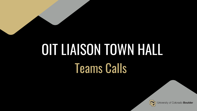# Teams Calls OIT LIAISON TOWN HALL

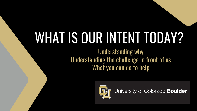# WHAT IS OUR INTENT TODAY?

Understanding why Understanding the challenge in front of us What you can do to help

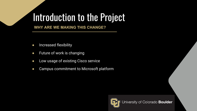## Introduction to the Project

**WHY ARE WE MAKING THIS CHANGE?** 

- Increased flexibility
- Future of work is changing
- Low usage of existing Cisco service
- Campus commitment to Microsoft platform

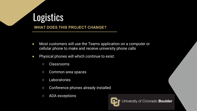# **Logistics**

**WHAT DOES THIS PROJECT CHANGE?** 

- Most customers will use the Teams application on a computer or cellular phone to make and receive university phone calls
- Physical phones will which continue to exist:
	- Classrooms
	- Common area spaces
	- Laboratories
	- Conference phones already installed
	- ADA exceptions

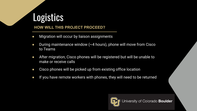## **Logistics**

#### **HOW WILL THIS PROJECT PROCEED?**

- Migration will occur by liaison assignments
- During maintenance window  $(\sim 4$  hours), phone will move from Cisco to Teams
- After migration, Cisco phones will be registered but will be unable to make or receive calls
- Cisco phones will be picked up from existing office location
- If you have remote workers with phones, they will need to be returned

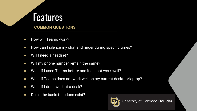## **Features**

**COMMON QUESTIONS** 

- How will Teams work?
- How can I silence my chat and ringer during specific times?
- Will I need a headset?
- Will my phone number remain the same?
- What if I used Teams before and it did not work well?
- What if Teams does not work well on my current desktop/laptop?
- What if I don't work at a desk?
- Do all the basic functions exist?

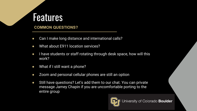### Features

#### **COMMON QUESTIONS?**

- Can I make long distance and international calls?
- What about E911 location services?
- I have students or staff rotating through desk space, how will this work?
- What if I still want a phone?
- Zoom and personal cellular phones are still an option
- Still have questions? Let's add them to our chat. You can private message Jamey Chapin if you are uncomfortable porting to the entire group

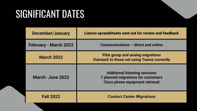## SIGNIFICANT DATES

| <b>December/January</b>      | Liaison spreadsheets sent out for review and feedback                                                                |
|------------------------------|----------------------------------------------------------------------------------------------------------------------|
| <b>February - March 2022</b> | Communications - direct and online                                                                                   |
| <b>March 2022</b>            | <b>Pilot group and analog migrations</b><br><b>Outreach to those not using Teams currently</b>                       |
| March-June 2022              | <b>Additional listening sessions</b><br><b>7 planned migrations for customers</b><br>Cisco phone equipment retrieval |
| <b>Fall 2022</b>             | <b>Contact Center Migrations</b>                                                                                     |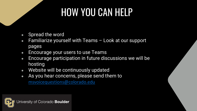# HOW YOU CAN HELP

- Spread the word
- $\bullet$  Familiarize yourself with Teams  $\overline{\phantom{a}}$  Look at our support pages
- Encourage your users to use Teams
- Encourage participation in future discussions we will be hosting
- Website will be continuously updated
- As you hear concerns, please send them to msvoicequestions@colorado.edu

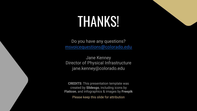# **THANKS!**

Do you have any questions? msvoicequestions@colorado.edu

Jane Kenney Director of Physical Infrastructure jane.kenney@colorado.edu

**CREDITS**: This presentation template was created by **Slidesgo**, including icons by **Flaticon**, and infographics & images by **Freepik**

Please keep this slide for attribution